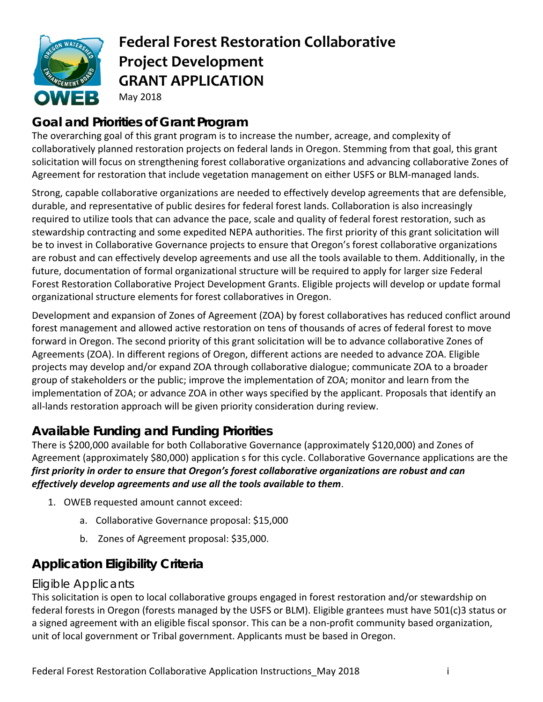

# **Federal Forest Restoration Collaborative Project Development GRANT APPLICATION**  May 2018

## **Goal and Priorities of Grant Program**

The overarching goal of this grant program is to increase the number, acreage, and complexity of collaboratively planned restoration projects on federal lands in Oregon. Stemming from that goal, this grant solicitation will focus on strengthening forest collaborative organizations and advancing collaborative Zones of Agreement for restoration that include vegetation management on either USFS or BLM-managed lands.

Strong, capable collaborative organizations are needed to effectively develop agreements that are defensible, durable, and representative of public desires for federal forest lands. Collaboration is also increasingly required to utilize tools that can advance the pace, scale and quality of federal forest restoration, such as stewardship contracting and some expedited NEPA authorities. The first priority of this grant solicitation will be to invest in Collaborative Governance projects to ensure that Oregon's forest collaborative organizations are robust and can effectively develop agreements and use all the tools available to them. Additionally, in the future, documentation of formal organizational structure will be required to apply for larger size Federal Forest Restoration Collaborative Project Development Grants. Eligible projects will develop or update formal organizational structure elements for forest collaboratives in Oregon.

Development and expansion of Zones of Agreement (ZOA) by forest collaboratives has reduced conflict around forest management and allowed active restoration on tens of thousands of acres of federal forest to move forward in Oregon. The second priority of this grant solicitation will be to advance collaborative Zones of Agreements (ZOA). In different regions of Oregon, different actions are needed to advance ZOA. Eligible projects may develop and/or expand ZOA through collaborative dialogue; communicate ZOA to a broader group of stakeholders or the public; improve the implementation of ZOA; monitor and learn from the implementation of ZOA; or advance ZOA in other ways specified by the applicant. Proposals that identify an all-lands restoration approach will be given priority consideration during review.

## **Available Funding and Funding Priorities**

There is \$200,000 available for both Collaborative Governance (approximately \$120,000) and Zones of Agreement (approximately \$80,000) application s for this cycle. Collaborative Governance applications are the *first priority in order to ensure that Oregon's forest collaborative organizations are robust and can effectively develop agreements and use all the tools available to them*.

- 1. OWEB requested amount cannot exceed:
	- a. Collaborative Governance proposal: \$15,000
	- b. Zones of Agreement proposal: \$35,000.

## **Application Eligibility Criteria**

#### Eligible Applicants

This solicitation is open to local collaborative groups engaged in forest restoration and/or stewardship on federal forests in Oregon (forests managed by the USFS or BLM). Eligible grantees must have 501(c)3 status or a signed agreement with an eligible fiscal sponsor. This can be a non-profit community based organization, unit of local government or Tribal government. Applicants must be based in Oregon.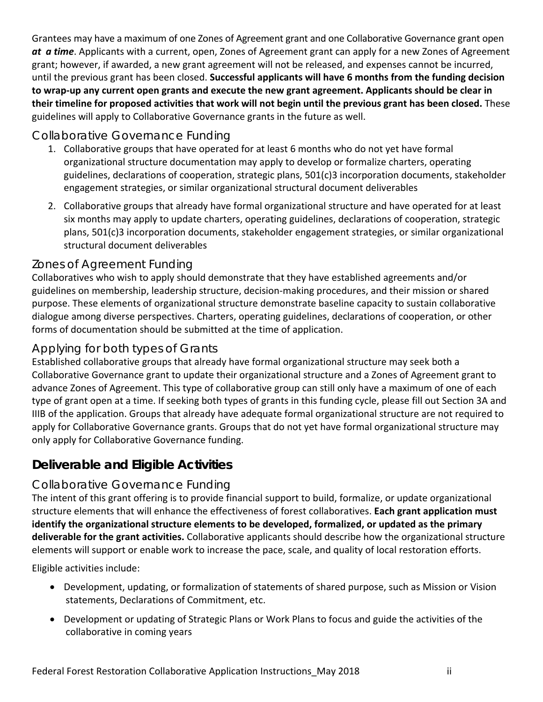Grantees may have a maximum of one Zones of Agreement grant and one Collaborative Governance grant open *at a time*. Applicants with a current, open, Zones of Agreement grant can apply for a new Zones of Agreement grant; however, if awarded, a new grant agreement will not be released, and expenses cannot be incurred, until the previous grant has been closed. **Successful applicants will have 6 months from the funding decision** to wrap-up any current open grants and execute the new grant agreement. Applicants should be clear in their timeline for proposed activities that work will not begin until the previous grant has been closed. These guidelines will apply to Collaborative Governance grants in the future as well.

#### Collaborative Governance Funding

- 1. Collaborative groups that have operated for at least 6 months who do not yet have formal organizational structure documentation may apply to develop or formalize charters, operating guidelines, declarations of cooperation, strategic plans, 501(c)3 incorporation documents, stakeholder engagement strategies, or similar organizational structural document deliverables
- 2. Collaborative groups that already have formal organizational structure and have operated for at least six months may apply to update charters, operating guidelines, declarations of cooperation, strategic plans, 501(c)3 incorporation documents, stakeholder engagement strategies, or similar organizational structural document deliverables

#### Zones of Agreement Funding

Collaboratives who wish to apply should demonstrate that they have established agreements and/or guidelines on membership, leadership structure, decision‐making procedures, and their mission or shared purpose. These elements of organizational structure demonstrate baseline capacity to sustain collaborative dialogue among diverse perspectives. Charters, operating guidelines, declarations of cooperation, or other forms of documentation should be submitted at the time of application.

#### Applying for both types of Grants

Established collaborative groups that already have formal organizational structure may seek both a Collaborative Governance grant to update their organizational structure and a Zones of Agreement grant to advance Zones of Agreement. This type of collaborative group can still only have a maximum of one of each type of grant open at a time. If seeking both types of grants in this funding cycle, please fill out Section 3A and IIIB of the application. Groups that already have adequate formal organizational structure are not required to apply for Collaborative Governance grants. Groups that do not yet have formal organizational structure may only apply for Collaborative Governance funding.

### **Deliverable and Eligible Activities**

#### Collaborative Governance Funding

The intent of this grant offering is to provide financial support to build, formalize, or update organizational structure elements that will enhance the effectiveness of forest collaboratives. **Each grant application must identify the organizational structure elements to be developed, formalized, or updated as the primary deliverable for the grant activities.** Collaborative applicants should describe how the organizational structure elements will support or enable work to increase the pace, scale, and quality of local restoration efforts.

Eligible activities include:

- Development, updating, or formalization of statements of shared purpose, such as Mission or Vision statements, Declarations of Commitment, etc.
- Development or updating of Strategic Plans or Work Plans to focus and guide the activities of the collaborative in coming years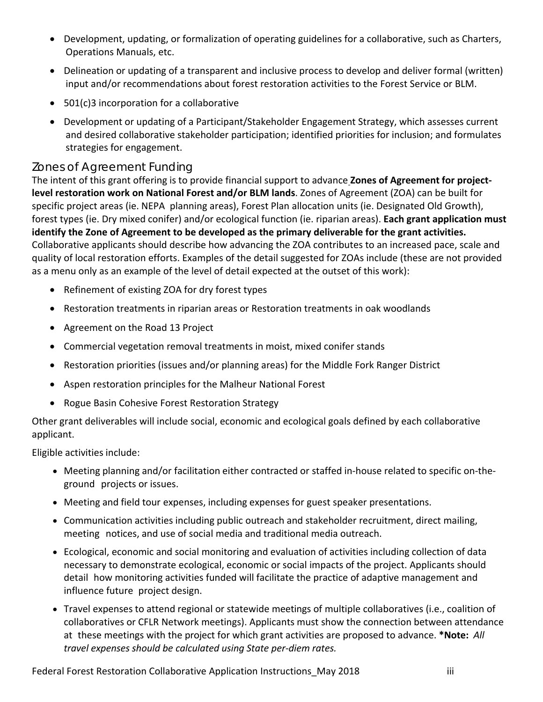- Development, updating, or formalization of operating guidelines for a collaborative, such as Charters, Operations Manuals, etc.
- Delineation or updating of a transparent and inclusive process to develop and deliver formal (written) input and/or recommendations about forest restoration activities to the Forest Service or BLM.
- 501(c)3 incorporation for a collaborative
- Development or updating of a Participant/Stakeholder Engagement Strategy, which assesses current and desired collaborative stakeholder participation; identified priorities for inclusion; and formulates strategies for engagement.

#### Zones of Agreement Funding

The intent of this grant offering is to provide financial support to advance **Zones of Agreement for project‐ level restoration work on National Forest and/or BLM lands**. Zones of Agreement (ZOA) can be built for specific project areas (ie. NEPA planning areas), Forest Plan allocation units (ie. Designated Old Growth), forest types (ie. Dry mixed conifer) and/or ecological function (ie. riparian areas). **Each grant application must identify the Zone of Agreement to be developed as the primary deliverable for the grant activities.** Collaborative applicants should describe how advancing the ZOA contributes to an increased pace, scale and quality of local restoration efforts. Examples of the detail suggested for ZOAs include (these are not provided as a menu only as an example of the level of detail expected at the outset of this work):

- Refinement of existing ZOA for dry forest types
- Restoration treatments in riparian areas or Restoration treatments in oak woodlands
- Agreement on the Road 13 Project
- Commercial vegetation removal treatments in moist, mixed conifer stands
- Restoration priorities (issues and/or planning areas) for the Middle Fork Ranger District
- Aspen restoration principles for the Malheur National Forest
- Rogue Basin Cohesive Forest Restoration Strategy

Other grant deliverables will include social, economic and ecological goals defined by each collaborative applicant.

Eligible activities include:

- Meeting planning and/or facilitation either contracted or staffed in-house related to specific on-theground projects or issues.
- Meeting and field tour expenses, including expenses for guest speaker presentations.
- Communication activities including public outreach and stakeholder recruitment, direct mailing, meeting notices, and use of social media and traditional media outreach.
- Ecological, economic and social monitoring and evaluation of activities including collection of data necessary to demonstrate ecological, economic or social impacts of the project. Applicants should detail how monitoring activities funded will facilitate the practice of adaptive management and influence future project design.
- Travel expenses to attend regional or statewide meetings of multiple collaboratives (i.e., coalition of collaboratives or CFLR Network meetings). Applicants must show the connection between attendance at these meetings with the project for which grant activities are proposed to advance. **\*Note:** *All travel expenses should be calculated using State per‐diem rates.*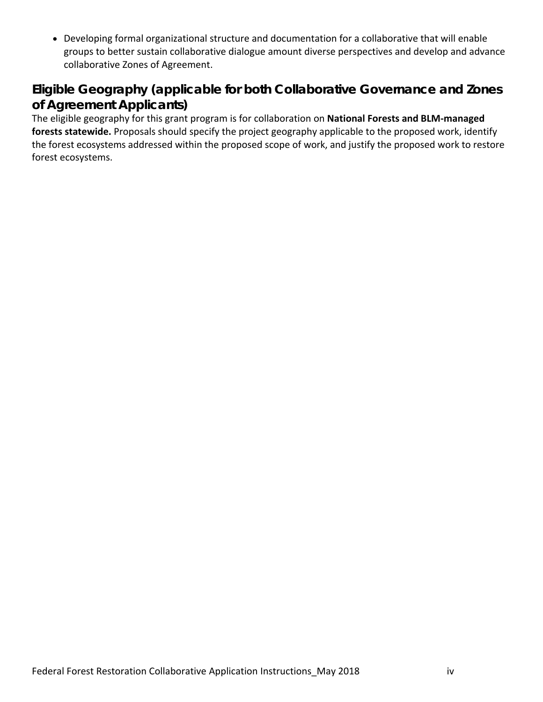Developing formal organizational structure and documentation for a collaborative that will enable groups to better sustain collaborative dialogue amount diverse perspectives and develop and advance collaborative Zones of Agreement.

### **Eligible Geography (applicable for both Collaborative Governance and Zones of Agreement Applicants)**

The eligible geography for this grant program is for collaboration on **National Forests and BLM‐managed forests statewide.** Proposals should specify the project geography applicable to the proposed work, identify the forest ecosystems addressed within the proposed scope of work, and justify the proposed work to restore forest ecosystems.